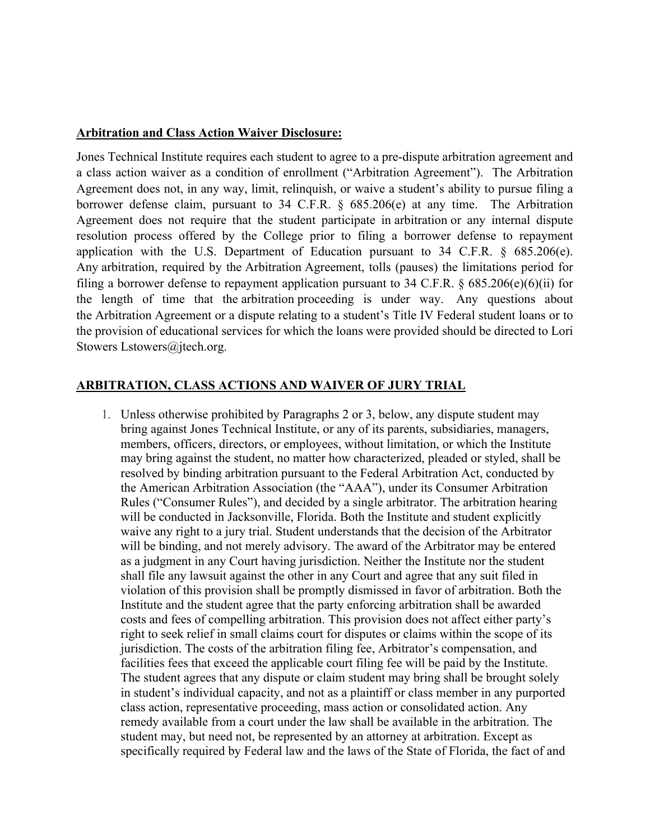## **Arbitration and Class Action Waiver Disclosure:**

Jones Technical Institute requires each student to agree to a pre-dispute arbitration agreement and a class action waiver as a condition of enrollment ("Arbitration Agreement"). The Arbitration Agreement does not, in any way, limit, relinquish, or waive a student's ability to pursue filing a borrower defense claim, pursuant to 34 C.F.R. § 685.206(e) at any time. The Arbitration Agreement does not require that the student participate in arbitration or any internal dispute resolution process offered by the College prior to filing a borrower defense to repayment application with the U.S. Department of Education pursuant to 34 C.F.R. § 685.206(e). Any arbitration, required by the Arbitration Agreement, tolls (pauses) the limitations period for filing a borrower defense to repayment application pursuant to 34 C.F.R.  $\S$  685.206(e)(6)(ii) for the length of time that the arbitration proceeding is under way. Any questions about the Arbitration Agreement or a dispute relating to a student's Title IV Federal student loans or to the provision of educational services for which the loans were provided should be directed to Lori Stowers Lstowers@jtech.org.

## **ARBITRATION, CLASS ACTIONS AND WAIVER OF JURY TRIAL**

1. Unless otherwise prohibited by Paragraphs 2 or 3, below, any dispute student may bring against Jones Technical Institute, or any of its parents, subsidiaries, managers, members, officers, directors, or employees, without limitation, or which the Institute may bring against the student, no matter how characterized, pleaded or styled, shall be resolved by binding arbitration pursuant to the Federal Arbitration Act, conducted by the American Arbitration Association (the "AAA"), under its Consumer Arbitration Rules ("Consumer Rules"), and decided by a single arbitrator. The arbitration hearing will be conducted in Jacksonville, Florida. Both the Institute and student explicitly waive any right to a jury trial. Student understands that the decision of the Arbitrator will be binding, and not merely advisory. The award of the Arbitrator may be entered as a judgment in any Court having jurisdiction. Neither the Institute nor the student shall file any lawsuit against the other in any Court and agree that any suit filed in violation of this provision shall be promptly dismissed in favor of arbitration. Both the Institute and the student agree that the party enforcing arbitration shall be awarded costs and fees of compelling arbitration. This provision does not affect either party's right to seek relief in small claims court for disputes or claims within the scope of its jurisdiction. The costs of the arbitration filing fee, Arbitrator's compensation, and facilities fees that exceed the applicable court filing fee will be paid by the Institute. The student agrees that any dispute or claim student may bring shall be brought solely in student's individual capacity, and not as a plaintiff or class member in any purported class action, representative proceeding, mass action or consolidated action. Any remedy available from a court under the law shall be available in the arbitration. The student may, but need not, be represented by an attorney at arbitration. Except as specifically required by Federal law and the laws of the State of Florida, the fact of and